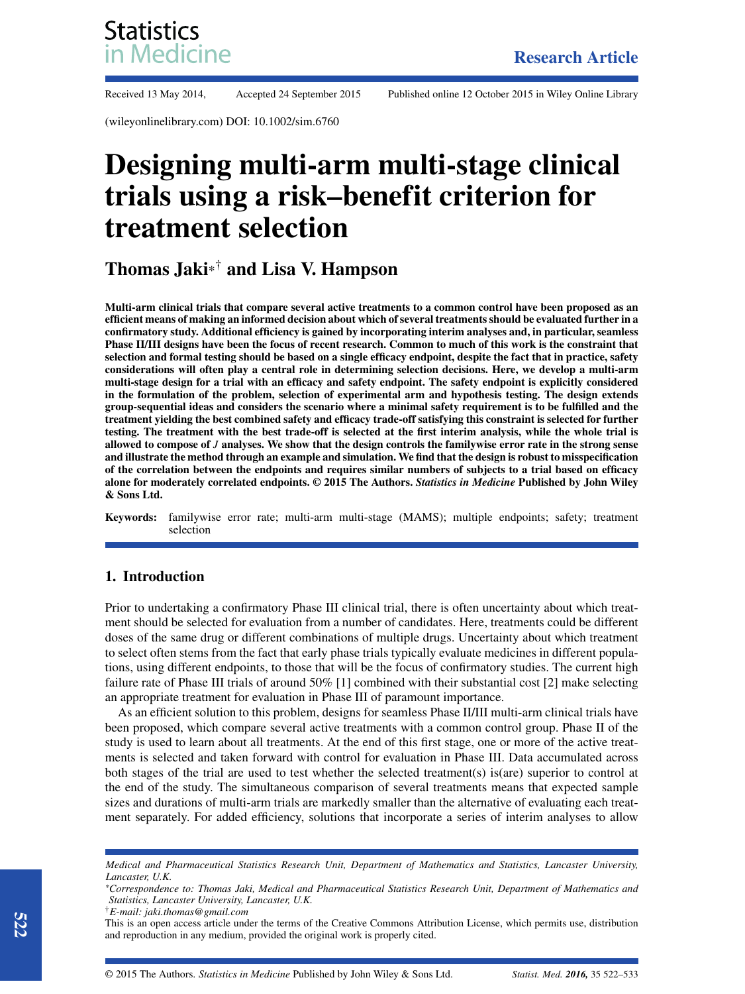

Received 13 May 2014, Accepted 24 September 2015 Published online 12 October 2015 in Wiley Online Library

(wileyonlinelibrary.com) DOI: 10.1002/sim.6760

# **Designing multi-arm multi-stage clinical trials using a risk–benefit criterion for treatment selection**

### **Thomas Jaki**\*† **and Lisa V. Hampson**

**Multi-arm clinical trials that compare several active treatments to a common control have been proposed as an efficient means of making an informed decision about which of several treatments should be evaluated further in a confirmatory study. Additional efficiency is gained by incorporating interim analyses and, in particular, seamless Phase II/III designs have been the focus of recent research. Common to much of this work is the constraint that selection and formal testing should be based on a single efficacy endpoint, despite the fact that in practice, safety considerations will often play a central role in determining selection decisions. Here, we develop a multi-arm multi-stage design for a trial with an efficacy and safety endpoint. The safety endpoint is explicitly considered in the formulation of the problem, selection of experimental arm and hypothesis testing. The design extends group-sequential ideas and considers the scenario where a minimal safety requirement is to be fulfilled and the treatment yielding the best combined safety and efficacy trade-off satisfying this constraint is selected for further testing. The treatment with the best trade-off is selected at the first interim analysis, while the whole trial is allowed to compose of** *J* **analyses. We show that the design controls the familywise error rate in the strong sense and illustrate the method through an example and simulation. We find that the design is robust to misspecification of the correlation between the endpoints and requires similar numbers of subjects to a trial based on efficacy alone for moderately correlated endpoints. © 2015 The Authors.** *Statistics in Medicine* **Published by John Wiley & Sons Ltd.**

<span id="page-0-0"></span>**Keywords:** familywise error rate; multi-arm multi-stage (MAMS); multiple endpoints; safety; treatment selection

#### **1. Introduction**

Prior to undertaking a confirmatory Phase III clinical trial, there is often uncertainty about which treatment should be selected for evaluation from a number of candidates. Here, treatments could be different doses of the same drug or different combinations of multiple drugs. Uncertainty about which treatment to select often stems from the fact that early phase trials typically evaluate medicines in different populations, using different endpoints, to those that will be the focus of confirmatory studies. The current high failure rate of Phase III trials of around 50% [\[1\]](#page-10-0) combined with their substantial cost [\[2\]](#page-10-1) make selecting an appropriate treatment for evaluation in Phase III of paramount importance.

As an efficient solution to this problem, designs for seamless Phase II/III multi-arm clinical trials have been proposed, which compare several active treatments with a common control group. Phase II of the study is used to learn about all treatments. At the end of this first stage, one or more of the active treatments is selected and taken forward with control for evaluation in Phase III. Data accumulated across both stages of the trial are used to test whether the selected treatment(s) is(are) superior to control at the end of the study. The simultaneous comparison of several treatments means that expected sample sizes and durations of multi-arm trials are markedly smaller than the alternative of evaluating each treatment separately. For added efficiency, solutions that incorporate a series of interim analyses to allow

*Medical and Pharmaceutical Statistics Research Unit, Department of Mathematics and Statistics, Lancaster University, Lancaster, U.K.*

*<sup>\*</sup>Correspondence to: Thomas Jaki, Medical and Pharmaceutical Statistics Research Unit, Department of Mathematics and Statistics, Lancaster University, Lancaster, U.K.*

<sup>†</sup>*E-mail: jaki.thomas@gmail.com*

This is an open access article under the terms of the [Creative Commons Attribution](http://creativecommons.org/licenses/by/4.0/) License, which permits use, distribution and reproduction in any medium, provided the original work is properly cited.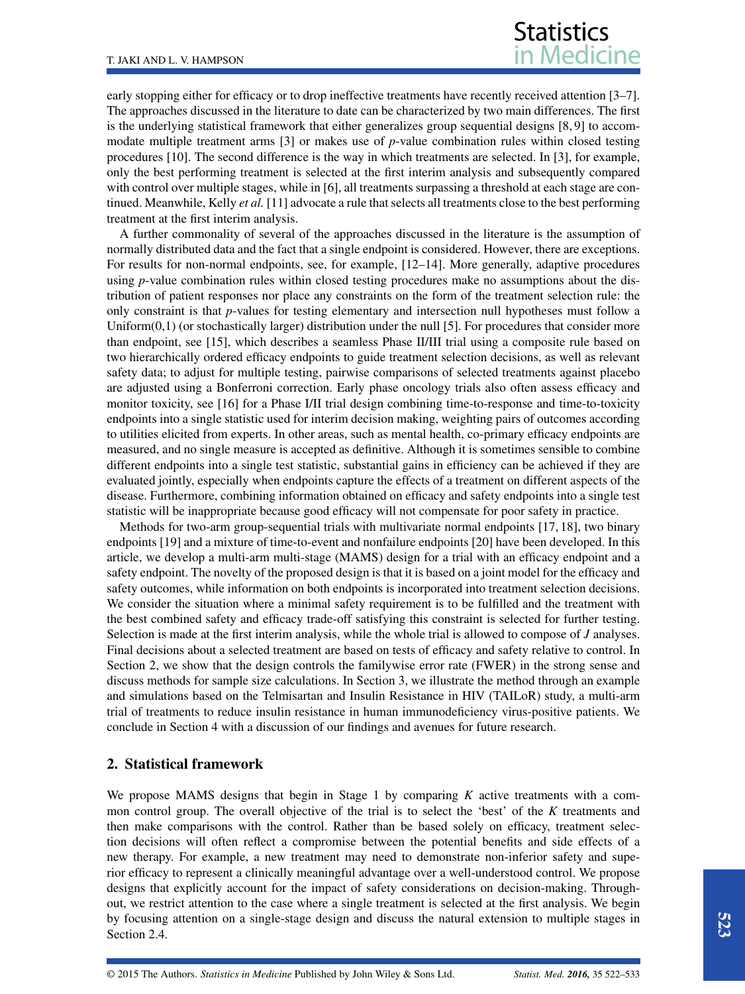early stopping either for efficacy or to drop ineffective treatments have recently received attention [\[3](#page-10-2)[–7\]](#page-10-3). The approaches discussed in the literature to date can be characterized by two main differences. The first is the underlying statistical framework that either generalizes group sequential designs [\[8,](#page-10-4) [9\]](#page-10-5) to accommodate multiple treatment arms [\[3\]](#page-10-2) or makes use of *p*-value combination rules within closed testing procedures [\[10\]](#page-10-6). The second difference is the way in which treatments are selected. In [\[3\]](#page-10-2), for example, only the best performing treatment is selected at the first interim analysis and subsequently compared with control over multiple stages, while in [\[6\]](#page-10-7), all treatments surpassing a threshold at each stage are continued. Meanwhile, Kelly *et al.* [\[11\]](#page-10-8) advocate a rule that selects all treatments close to the best performing treatment at the first interim analysis.

A further commonality of several of the approaches discussed in the literature is the assumption of normally distributed data and the fact that a single endpoint is considered. However, there are exceptions. For results for non-normal endpoints, see, for example, [\[12–](#page-10-9)[14\]](#page-10-10). More generally, adaptive procedures using *p*-value combination rules within closed testing procedures make no assumptions about the distribution of patient responses nor place any constraints on the form of the treatment selection rule: the only constraint is that *p*-values for testing elementary and intersection null hypotheses must follow a Uniform $(0,1)$  (or stochastically larger) distribution under the null [\[5\]](#page-10-11). For procedures that consider more than endpoint, see [\[15\]](#page-10-12), which describes a seamless Phase II/III trial using a composite rule based on two hierarchically ordered efficacy endpoints to guide treatment selection decisions, as well as relevant safety data; to adjust for multiple testing, pairwise comparisons of selected treatments against placebo are adjusted using a Bonferroni correction. Early phase oncology trials also often assess efficacy and monitor toxicity, see [\[16\]](#page-11-1) for a Phase I/II trial design combining time-to-response and time-to-toxicity endpoints into a single statistic used for interim decision making, weighting pairs of outcomes according to utilities elicited from experts. In other areas, such as mental health, co-primary efficacy endpoints are measured, and no single measure is accepted as definitive. Although it is sometimes sensible to combine different endpoints into a single test statistic, substantial gains in efficiency can be achieved if they are evaluated jointly, especially when endpoints capture the effects of a treatment on different aspects of the disease. Furthermore, combining information obtained on efficacy and safety endpoints into a single test statistic will be inappropriate because good efficacy will not compensate for poor safety in practice.

Methods for two-arm group-sequential trials with multivariate normal endpoints [\[17,](#page-11-2) [18\]](#page-11-3), two binary endpoints [\[19\]](#page-11-4) and a mixture of time-to-event and nonfailure endpoints [\[20\]](#page-11-5) have been developed. In this article, we develop a multi-arm multi-stage (MAMS) design for a trial with an efficacy endpoint and a safety endpoint. The novelty of the proposed design is that it is based on a joint model for the efficacy and safety outcomes, while information on both endpoints is incorporated into treatment selection decisions. We consider the situation where a minimal safety requirement is to be fulfilled and the treatment with the best combined safety and efficacy trade-off satisfying this constraint is selected for further testing. Selection is made at the first interim analysis, while the whole trial is allowed to compose of *J* analyses. Final decisions about a selected treatment are based on tests of efficacy and safety relative to control. In Section [2,](#page-1-0) we show that the design controls the familywise error rate (FWER) in the strong sense and discuss methods for sample size calculations. In Section [3,](#page-6-0) we illustrate the method through an example and simulations based on the Telmisartan and Insulin Resistance in HIV (TAILoR) study, a multi-arm trial of treatments to reduce insulin resistance in human immunodeficiency virus-positive patients. We conclude in Section [4](#page-9-0) with a discussion of our findings and avenues for future research.

#### <span id="page-1-0"></span>**2. Statistical framework**

We propose MAMS designs that begin in Stage 1 by comparing *K* active treatments with a common control group. The overall objective of the trial is to select the 'best' of the *K* treatments and then make comparisons with the control. Rather than be based solely on efficacy, treatment selection decisions will often reflect a compromise between the potential benefits and side effects of a new therapy. For example, a new treatment may need to demonstrate non-inferior safety and superior efficacy to represent a clinically meaningful advantage over a well-understood control. We propose designs that explicitly account for the impact of safety considerations on decision-making. Throughout, we restrict attention to the case where a single treatment is selected at the first analysis. We begin by focusing attention on a single-stage design and discuss the natural extension to multiple stages in Section [2.4.](#page-5-0)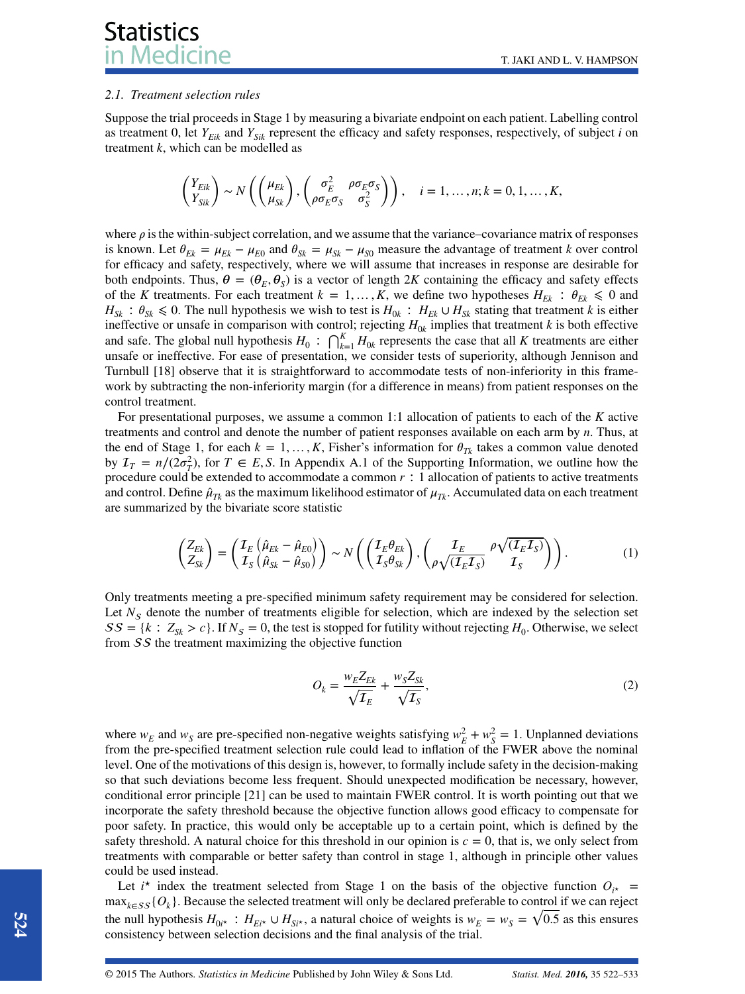#### *2.1. Treatment selection rules*

Suppose the trial proceeds in Stage 1 by measuring a bivariate endpoint on each patient. Labelling control as treatment 0, let *YEik* and *YSik* represent the efficacy and safety responses, respectively, of subject *i* on treatment *k*, which can be modelled as

$$
\begin{pmatrix} Y_{Eik} \\ Y_{Sik} \end{pmatrix} \sim N \left( \begin{pmatrix} \mu_{Ek} \\ \mu_{Sk} \end{pmatrix}, \begin{pmatrix} \sigma_E^2 & \rho \sigma_E \sigma_S \\ \rho \sigma_E \sigma_S & \sigma_S^2 \end{pmatrix} \right), \quad i = 1, \dots, n; k = 0, 1, \dots, K,
$$

where  $\rho$  is the within-subject correlation, and we assume that the variance–covariance matrix of responses is known. Let  $\theta_{Ek} = \mu_{Ek} - \mu_{E0}$  and  $\theta_{Sk} = \mu_{Sk} - \mu_{S0}$  measure the advantage of treatment *k* over control for efficacy and safety, respectively, where we will assume that increases in response are desirable for both endpoints. Thus,  $\theta = (\theta_F, \theta_S)$  is a vector of length 2*K* containing the efficacy and safety effects of the *K* treatments. For each treatment  $k = 1, ..., K$ , we define two hypotheses  $H_{Ek}$ :  $\theta_{Ek} \le 0$  and *H<sub>Sk</sub>* ∶  $\theta_{Sk}$  ≤ 0. The null hypothesis we wish to test is  $H_{0k}$  ∶  $H_{Ek}$  ∪  $H_{Sk}$  stating that treatment *k* is either ineffective or unsafe in comparison with control; rejecting  $H_{0k}$  implies that treatment *k* is both effective and safe. The global null hypothesis  $H_0$ :  $\bigcap_{k=1}^K H_{0k}$  represents the case that all *K* treatments are either unsafe or ineffective. For ease of presentation, we consider tests of superiority, although Jennison and Turnbull [\[18\]](#page-11-3) observe that it is straightforward to accommodate tests of non-inferiority in this framework by subtracting the non-inferiority margin (for a difference in means) from patient responses on the control treatment.

For presentational purposes, we assume a common 1:1 allocation of patients to each of the *K* active treatments and control and denote the number of patient responses available on each arm by *n*. Thus, at the end of Stage 1, for each  $k = 1, ..., K$ , Fisher's information for  $\theta_{T_k}$  takes a common value denoted by  $\mathcal{I}_T = n/(2\sigma_T^2)$ , for  $T \in E$ , *S*. In Appendix A.1 of the Supporting Information, we outline how the procedure could be extended to accommodate a common *r* ∶ 1 allocation of patients to active treatments and control. Define  $\hat{\mu}_{Tk}$  as the maximum likelihood estimator of  $\mu_{Tk}$ . Accumulated data on each treatment are summarized by the bivariate score statistic

$$
\begin{pmatrix} Z_{Ek} \\ Z_{Sk} \end{pmatrix} = \begin{pmatrix} I_E \left( \hat{\mu}_{Ek} - \hat{\mu}_{E0} \right) \\ I_S \left( \hat{\mu}_{Sk} - \hat{\mu}_{S0} \right) \end{pmatrix} \sim N \left( \begin{pmatrix} I_E \theta_{Ek} \\ I_S \theta_{Sk} \end{pmatrix}, \begin{pmatrix} I_E & \rho \sqrt{(I_E I_S)} \\ \rho \sqrt{(I_E I_S)} & I_S \end{pmatrix} \right). \tag{1}
$$

Only treatments meeting a pre-specified minimum safety requirement may be considered for selection. Let  $N<sub>S</sub>$  denote the number of treatments eligible for selection, which are indexed by the selection set  $SS = \{k : Z_{Sk} > c\}$ . If  $N_S = 0$ , the test is stopped for futility without rejecting  $H_0$ . Otherwise, we select from  $SS$  the treatment maximizing the objective function

<span id="page-2-0"></span>
$$
O_k = \frac{w_E Z_{Ek}}{\sqrt{\mathcal{I}_E}} + \frac{w_S Z_{Sk}}{\sqrt{\mathcal{I}_S}},\tag{2}
$$

where  $w_E$  and  $w_S$  are pre-specified non-negative weights satisfying  $w_E^2 + w_S^2 = 1$ . Unplanned deviations from the pre-specified treatment selection rule could lead to inflation of the FWER above the nominal level. One of the motivations of this design is, however, to formally include safety in the decision-making so that such deviations become less frequent. Should unexpected modification be necessary, however, conditional error principle [\[21\]](#page-11-6) can be used to maintain FWER control. It is worth pointing out that we incorporate the safety threshold because the objective function allows good efficacy to compensate for poor safety. In practice, this would only be acceptable up to a certain point, which is defined by the safety threshold. A natural choice for this threshold in our opinion is  $c = 0$ , that is, we only select from treatments with comparable or better safety than control in stage 1, although in principle other values could be used instead.

Let  $i^*$  index the treatment selected from Stage 1 on the basis of the objective function  $O_{i^*}$  $\max_{k \in S} \{O_k\}$ . Because the selected treatment will only be declared preferable to control if we can reject the null hypothesis  $H_{0i*}$ :  $H_{Ei*} \cup H_{Si*}$ , a natural choice of weights is  $w_E = w_S = \sqrt{0.5}$  as this ensures consistency between selection decisions and the final analysis of the trial.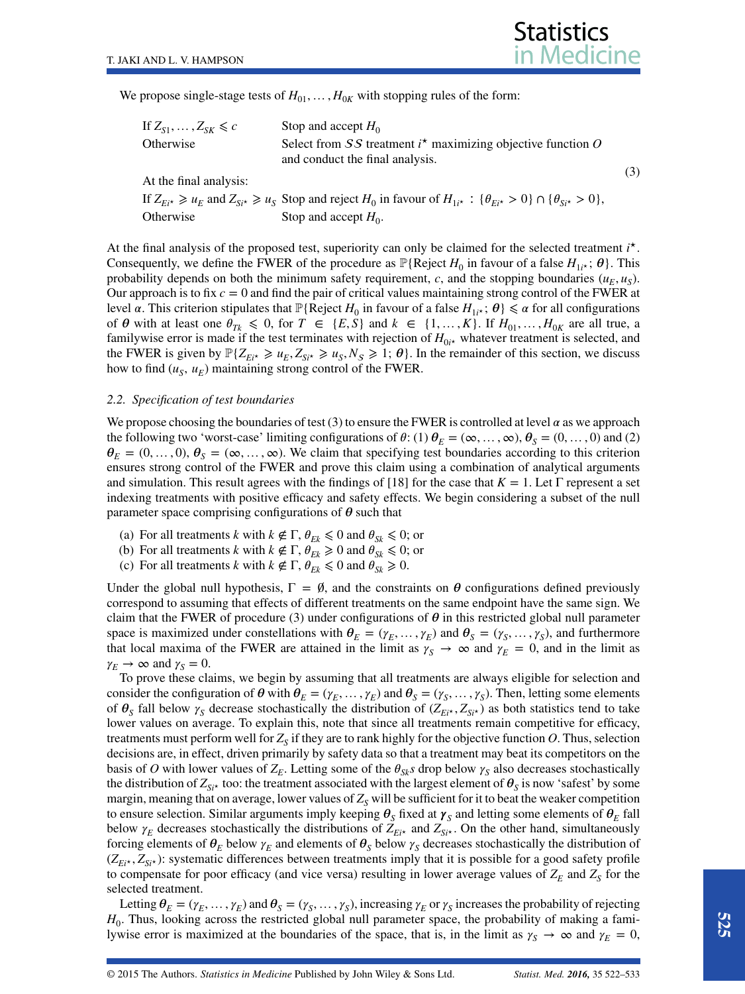We propose single-stage tests of  $H_{01}, \ldots, H_{0K}$  with stopping rules of the form:

<span id="page-3-0"></span>

| If $Z_{S1}, \ldots, Z_{SK} \leq c$ | Stop and accept $H_0$                                                                                                                            |     |
|------------------------------------|--------------------------------------------------------------------------------------------------------------------------------------------------|-----|
| Otherwise                          | Select from SS treatment $i^*$ maximizing objective function O<br>and conduct the final analysis.                                                |     |
| At the final analysis:             |                                                                                                                                                  | (3) |
|                                    | If $Z_{E_i^*} \geq u_F$ and $Z_{S_i^*} \geq u_S$ Stop and reject $H_0$ in favour of $H_{1i^*}: {\theta_{E_i^*} > 0} \cap {\theta_{S_i^*} > 0}$ , |     |
| Otherwise                          | Stop and accept $H_0$ .                                                                                                                          |     |

At the final analysis of the proposed test, superiority can only be claimed for the selected treatment *i ⋆*. Consequently, we define the FWER of the procedure as  $\mathbb{P}\{\text{Reject } H_0 \text{ in favour of a false } H_{1i*}; \theta\}$ . This probability depends on both the minimum safety requirement, *c*, and the stopping boundaries  $(u_F, u_S)$ . Our approach is to fix  $c = 0$  and find the pair of critical values maintaining strong control of the FWER at level  $\alpha$ . This criterion stipulates that  $\mathbb{P}\{\text{Reject } H_0 \text{ in favour of a false } H_{1/} \mathcal{F}; \theta\} \leq \alpha$  for all configurations of  $\theta$  with at least one  $\theta_{Tk} \leq 0$ , for  $T \in \{E, S\}$  and  $k \in \{1, \ldots, K\}$ . If  $H_{01}, \ldots, H_{0K}$  are all true, a familywise error is made if the test terminates with rejection of  $H_{0i\star}$  whatever treatment is selected, and the FWER is given by  $\mathbb{P}\{Z_{E_i^*} \geq u_E, Z_{S_i^*} \geq u_S, N_S \geq 1; \theta\}$ . In the remainder of this section, we discuss how to find  $(u<sub>S</sub>, u<sub>E</sub>)$  maintaining strong control of the FWER.

#### <span id="page-3-1"></span>*2.2. Specification of test boundaries*

We propose choosing the boundaries of test [\(3\)](#page-3-0) to ensure the FWER is controlled at level  $\alpha$  as we approach the following two 'worst-case' limiting configurations of  $\theta$ : (1)  $\theta_E = (\infty, ..., \infty)$ ,  $\theta_s = (0, ..., 0)$  and (2)  $\theta_E = (0, \ldots, 0), \theta_S = (\infty, \ldots, \infty)$ . We claim that specifying test boundaries according to this criterion ensures strong control of the FWER and prove this claim using a combination of analytical arguments and simulation. This result agrees with the findings of [\[18\]](#page-11-3) for the case that  $K = 1$ . Let  $\Gamma$  represent a set indexing treatments with positive efficacy and safety effects. We begin considering a subset of the null parameter space comprising configurations of  $\theta$  such that

- (a) For all treatments *k* with  $k \notin \Gamma$ ,  $\theta_{Ek} \leq 0$  and  $\theta_{Sk} \leq 0$ ; or
- (b) For all treatments *k* with  $k \notin \Gamma$ ,  $\theta_{Ek} \ge 0$  and  $\theta_{Sk} \le 0$ ; or
- (c) For all treatments *k* with  $k \notin \Gamma$ ,  $\theta_{Ek} \leq 0$  and  $\theta_{Sk} \geq 0$ .

Under the global null hypothesis,  $\Gamma = ∅$ , and the constraints on  $\theta$  configurations defined previously correspond to assuming that effects of different treatments on the same endpoint have the same sign. We claim that the FWER of procedure [\(3\)](#page-3-0) under configurations of  $\theta$  in this restricted global null parameter space is maximized under constellations with  $\theta_E = (\gamma_E, \dots, \gamma_E)$  and  $\theta_S = (\gamma_S, \dots, \gamma_S)$ , and furthermore that local maxima of the FWER are attained in the limit as  $\gamma_s \to \infty$  and  $\gamma_E = 0$ , and in the limit as  $\gamma_E \rightarrow \infty$  and  $\gamma_S = 0$ .

To prove these claims, we begin by assuming that all treatments are always eligible for selection and consider the configuration of  $\theta$  with  $\theta_E = (\gamma_E, \dots, \gamma_E)$  and  $\theta_S = (\gamma_S, \dots, \gamma_S)$ . Then, letting some elements of  $\theta_s$  fall below  $\gamma_s$  decrease stochastically the distribution of  $(Z_{E_i^*}, Z_{S_i^*})$  as both statistics tend to take lower values on average. To explain this, note that since all treatments remain competitive for efficacy, treatments must perform well for  $Z_s$  if they are to rank highly for the objective function O. Thus, selection decisions are, in effect, driven primarily by safety data so that a treatment may beat its competitors on the basis of *O* with lower values of  $Z_E$ . Letting some of the  $\theta_{S_k}$ s drop below  $\gamma_S$  also decreases stochastically the distribution of  $Z_{S_i^*}$  too: the treatment associated with the largest element of  $\theta_S$  is now 'safest' by some margin, meaning that on average, lower values of  $Z_s$  will be sufficient for it to beat the weaker competition to ensure selection. Similar arguments imply keeping  $\theta_s$  fixed at  $\gamma_s$  and letting some elements of  $\theta_E$  fall below  $\gamma_E$  decreases stochastically the distributions of  $Z_{E_i\star}$  and  $Z_{S_i\star}$ . On the other hand, simultaneously forcing elements of  $\theta_F$  below  $\gamma_E$  and elements of  $\theta_S$  below  $\gamma_S$  decreases stochastically the distribution of  $(Z_{E_i^*}, Z_{S_i^*})$ : systematic differences between treatments imply that it is possible for a good safety profile to compensate for poor efficacy (and vice versa) resulting in lower average values of  $Z_E$  and  $Z_S$  for the selected treatment.

Letting  $\theta_F = (\gamma_F, \dots, \gamma_F)$  and  $\theta_S = (\gamma_S, \dots, \gamma_S)$ , increasing  $\gamma_F$  or  $\gamma_S$  increases the probability of rejecting *H*<sub>0</sub>. Thus, looking across the restricted global null parameter space, the probability of making a familywise error is maximized at the boundaries of the space, that is, in the limit as  $\gamma_s \to \infty$  and  $\gamma_E = 0$ ,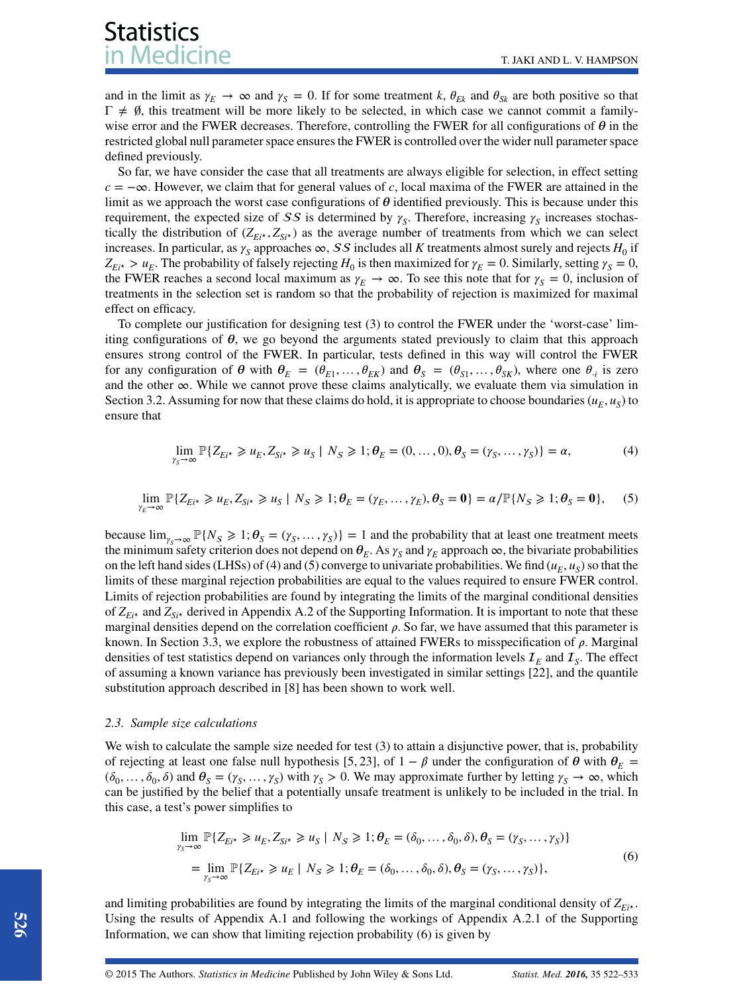and in the limit as  $\gamma_E \to \infty$  and  $\gamma_S = 0$ . If for some treatment *k*,  $\theta_{Ek}$  and  $\theta_{Sk}$  are both positive so that  $\Gamma \neq \emptyset$ , this treatment will be more likely to be selected, in which case we cannot commit a familywise error and the FWER decreases. Therefore, controlling the FWER for all configurations of  $\theta$  in the restricted global null parameter space ensures the FWER is controlled over the wider null parameter space defined previously.

So far, we have consider the case that all treatments are always eligible for selection, in effect setting  $c = -\infty$ . However, we claim that for general values of *c*, local maxima of the FWER are attained in the limit as we approach the worst case configurations of  $\theta$  identified previously. This is because under this requirement, the expected size of SS is determined by  $\gamma_S$ . Therefore, increasing  $\gamma_S$  increases stochastically the distribution of  $(Z_{E_i^*}, Z_{S_i^*})$  as the average number of treatments from which we can select increases. In particular, as  $\gamma_s$  approaches  $\infty$ , *SS* includes all *K* treatments almost surely and rejects  $H_0$  if  $Z_{E_i*} > u_E$ . The probability of falsely rejecting  $H_0$  is then maximized for  $\gamma_E = 0$ . Similarly, setting  $\gamma_S = 0$ , the FWER reaches a second local maximum as  $\gamma_E \to \infty$ . To see this note that for  $\gamma_S = 0$ , inclusion of treatments in the selection set is random so that the probability of rejection is maximized for maximal effect on efficacy.

To complete our justification for designing test [\(3\)](#page-3-0) to control the FWER under the 'worst-case' limiting configurations of  $\theta$ , we go beyond the arguments stated previously to claim that this approach ensures strong control of the FWER. In particular, tests defined in this way will control the FWER for any configuration of  $\theta$  with  $\theta_E = (\theta_{E1}, \dots, \theta_{EK})$  and  $\theta_S = (\theta_{S1}, \dots, \theta_{SK})$ , where one  $\theta_i$  is zero and the other ∞. While we cannot prove these claims analytically, we evaluate them via simulation in Section [3.2.](#page-6-1) Assuming for now that these claims do hold, it is appropriate to choose boundaries ( $u<sub>F</sub>$ ,  $u<sub>S</sub>$ ) to ensure that

<span id="page-4-0"></span>
$$
\lim_{\gamma_S \to \infty} \mathbb{P}\{Z_{Ei^*} \geq u_E, Z_{Si^*} \geq u_S \mid N_S \geq 1; \theta_E = (0, \dots, 0), \theta_S = (\gamma_S, \dots, \gamma_S)\} = \alpha,\tag{4}
$$

<span id="page-4-1"></span>
$$
\lim_{\gamma_E \to \infty} \mathbb{P}\{Z_{Ei^{\star}} \geq u_E, Z_{Si^{\star}} \geq u_S \mid N_S \geq 1; \theta_E = (\gamma_E, \dots, \gamma_E), \theta_S = \mathbf{0}\} = \alpha / \mathbb{P}\{N_S \geq 1; \theta_S = \mathbf{0}\},\tag{5}
$$

because  $\lim_{\gamma_s \to \infty} \mathbb{P}{N_S \geq 1; \theta_s = (\gamma_s, \dots, \gamma_s)} = 1$  and the probability that at least one treatment meets the minimum safety criterion does not depend on  $\theta_F$ . As  $\gamma_S$  and  $\gamma_F$  approach  $\infty$ , the bivariate probabilities on the left hand sides (LHSs) of [\(4\)](#page-4-0) and [\(5\)](#page-4-1) converge to univariate probabilities. We find ( $u_F$ ,  $u_S$ ) so that the limits of these marginal rejection probabilities are equal to the values required to ensure FWER control. Limits of rejection probabilities are found by integrating the limits of the marginal conditional densities of  $Z_{E,i\star}$  and  $Z_{S,i\star}$  derived in Appendix A.2 of the Supporting Information. It is important to note that these marginal densities depend on the correlation coefficient  $\rho$ . So far, we have assumed that this parameter is known. In Section [3.3,](#page-8-0) we explore the robustness of attained FWERs to misspecification of  $\rho$ . Marginal densities of test statistics depend on variances only through the information levels  $\mathcal{I}_F$  and  $\mathcal{I}_S$ . The effect of assuming a known variance has previously been investigated in similar settings [\[22\]](#page-11-7), and the quantile substitution approach described in [\[8\]](#page-10-4) has been shown to work well.

#### <span id="page-4-3"></span>*2.3. Sample size calculations*

We wish to calculate the sample size needed for test [\(3\)](#page-3-0) to attain a disjunctive power, that is, probability of rejecting at least one false null hypothesis [\[5,](#page-10-11) [23\]](#page-11-8), of  $1 - \beta$  under the configuration of  $\theta$  with  $\theta_E$  =  $(\delta_0, \ldots, \delta_0, \delta)$  and  $\theta_s = (\gamma_s, \ldots, \gamma_s)$  with  $\gamma_s > 0$ . We may approximate further by letting  $\gamma_s \to \infty$ , which can be justified by the belief that a potentially unsafe treatment is unlikely to be included in the trial. In this case, a test's power simplifies to

<span id="page-4-2"></span>
$$
\lim_{\gamma_S \to \infty} \mathbb{P}\{Z_{Ei^*} \geq u_E, Z_{Si^*} \geq u_S \mid N_S \geq 1; \theta_E = (\delta_0, \dots, \delta_0, \delta), \theta_S = (\gamma_S, \dots, \gamma_S)\}
$$
\n
$$
= \lim_{\gamma_S \to \infty} \mathbb{P}\{Z_{Ei^*} \geq u_E \mid N_S \geq 1; \theta_E = (\delta_0, \dots, \delta_0, \delta), \theta_S = (\gamma_S, \dots, \gamma_S)\},
$$
\n(6)

and limiting probabilities are found by integrating the limits of the marginal conditional density of  $Z_{E,i}$ . Using the results of Appendix A.1 and following the workings of Appendix A.2.1 of the Supporting Information, we can show that limiting rejection probability [\(6\)](#page-4-2) is given by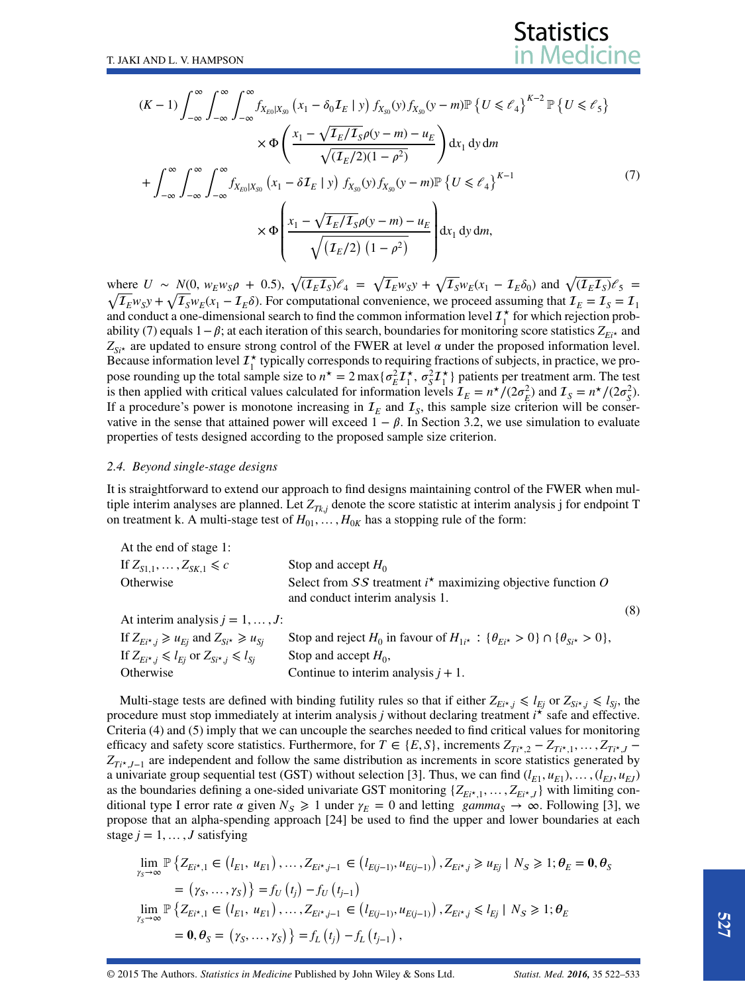<span id="page-5-1"></span>
$$
(K-1)\int_{-\infty}^{\infty}\int_{-\infty}^{\infty}\int_{-\infty}^{\infty}f_{X_{E0}|X_{S0}}(x_{1}-\delta_{0}I_{E}|y) f_{X_{S0}}(y) f_{X_{S0}}(y-m)\mathbb{P}\left\{U \leq \ell_{4}\right\}^{K-2}\mathbb{P}\left\{U \leq \ell_{5}\right\}
$$

$$
\times \Phi\left(\frac{x_{1}-\sqrt{I_{E}/I_{S}}\rho(y-m)-u_{E}}{\sqrt{(I_{E}/2)(1-\rho^{2})}}\right)dx_{1} dy dm
$$

$$
+\int_{-\infty}^{\infty}\int_{-\infty}^{\infty}\int_{-\infty}^{\infty}f_{X_{E0}|X_{S0}}(x_{1}-\delta I_{E}|y) f_{X_{S0}}(y) f_{X_{S0}}(y-m)\mathbb{P}\left\{U \leq \ell_{4}\right\}^{K-1}
$$

$$
\times \Phi\left(\frac{x_{1}-\sqrt{I_{E}/I_{S}}\rho(y-m)-u_{E}}{\sqrt{(I_{E}/2)(1-\rho^{2})}}\right)dx_{1} dy dm,
$$
\n(7)

where  $U \sim N(0, w_E w_S \rho + 0.5)$ ,  $\sqrt{(I_E I_S)} \ell_4 = \sqrt{I_E} w_S y + \sqrt{I_S} w_E (x_1 - I_E \delta_0)$  and  $\sqrt{(I_E I_S)} \ell_5 = \sqrt{I_E} w_S y + \sqrt{I_S} w_E (x_1 - I_E \delta)$ . For computational convenience, we proceed assuming that  $I_E = I_S = I_1$ and conduct a one-dimensional search to find the common information level  $\mathcal{I}_1^{\star}$  for which rejection prob-ability [\(7\)](#page-5-1) equals 1 –  $\beta$ ; at each iteration of this search, boundaries for monitoring score statistics  $Z_{Ei^*}$  and  $Z_{S_i^*}$  are updated to ensure strong control of the FWER at level  $\alpha$  under the proposed information level. Because information level  $\mathcal{I}_1^*$  typically corresponds to requiring fractions of subjects, in practice, we propose rounding up the total sample size to  $n^* = 2 \max{\{\sigma_E^2 I_1^*, \sigma_S^2 I_1^*\}}$  patients per treatment arm. The test is then applied with critical values calculated for information levels  $\mathcal{I}_E = n \star / (2\sigma_E^2)$  and  $\mathcal{I}_S = n \star / (2\sigma_S^2)$ . If a procedure's power is monotone increasing in  $\mathcal{I}_E$  and  $\mathcal{I}_S$ , this sample size criterion will be conservative in the sense that attained power will exceed  $1 - \beta$ . In Section [3.2,](#page-6-1) we use simulation to evaluate properties of tests designed according to the proposed sample size criterion.

#### <span id="page-5-0"></span>*2.4. Beyond single-stage designs*

It is straightforward to extend our approach to find designs maintaining control of the FWER when multiple interim analyses are planned. Let  $Z_{Tk,i}$  denote the score statistic at interim analysis j for endpoint T on treatment k. A multi-stage test of  $H_{01}, \ldots, H_{0K}$  has a stopping rule of the form:

| At the end of stage 1:                 |                                                                                                                                                                                                                    |     |
|----------------------------------------|--------------------------------------------------------------------------------------------------------------------------------------------------------------------------------------------------------------------|-----|
| If $Z_{S1,1}, \ldots, Z_{SK,1} \leq c$ | Stop and accept $H_0$                                                                                                                                                                                              |     |
| Otherwise                              | Select from SS treatment $i^*$ maximizing objective function O<br>and conduct interim analysis 1.                                                                                                                  |     |
| At interim analysis $j = 1, , J$ :     |                                                                                                                                                                                                                    | (8) |
|                                        | If $Z_{\text{max}} > u_{\text{max}}$ and $Z_{\text{max}} > u_{\text{max}}$ . Stop and reject H <sub>r</sub> in favour of H <sub>r</sub> $\cdot$ ( $\theta_{\text{max}} > 0$ ) $\cap$ ( $\theta_{\text{max}} > 0$ ) |     |

<span id="page-5-2"></span>If  $Z_{E_i^*j} \ge u_{E_j}$  and  $Z_{S_i^*} \ge u_{S_j}$  Stop and reject  $H_0$  in favour of  $H_{1i^*}$ :  $\{ \theta_{E_i^*} > 0 \} \cap \{ \theta_{S_i^*} > 0 \}$ , If  $Z_{E_i^*j} \le l_{E_j}$  or  $Z_{S_i^*j} \le l_{S_j}$  Stop and accept  $H_0$ , Otherwise Continue to interim analysis  $j + 1$ .

Multi-stage tests are defined with binding futility rules so that if either  $Z_{E_i^*j} \leq l_{E_j}$  or  $Z_{S_i^*j} \leq l_{S_j}$ , the procedure must stop immediately at interim analysis *j* without declaring treatment  $i^*$  safe and effective. Criteria [\(4\)](#page-4-0) and [\(5\)](#page-4-1) imply that we can uncouple the searches needed to find critical values for monitoring efficacy and safety score statistics. Furthermore, for  $T \in \{E, S\}$ , increments  $Z_{T_i^*2} - Z_{T_i^*1}, \ldots, Z_{T_i^*J} - Z_{T_i^*}$  $Z_{T_i^*I_{i-1}}$  are independent and follow the same distribution as increments in score statistics generated by a univariate group sequential test (GST) without selection [\[3\]](#page-10-2). Thus, we can find  $(l_{E1}, u_{E1}), \ldots, (l_{EJ}, u_{EJ})$ as the boundaries defining a one-sided univariate GST monitoring  $\{Z_{E_i^*},\ldots,Z_{E_i^*},\}$  with limiting conditional type I error rate  $\alpha$  given  $N_S \ge 1$  under  $\gamma_E = 0$  and letting  $gamma_S \to \infty$ . Following [\[3\]](#page-10-2), we propose that an alpha-spending approach [\[24\]](#page-11-9) be used to find the upper and lower boundaries at each stage  $j = 1, \ldots, J$  satisfying

$$
\lim_{\gamma_{S}\to\infty} \mathbb{P}\left\{Z_{Ei^*,1} \in (l_{E1}, u_{E1}), \dots, Z_{Ei^*j-1} \in (l_{E(j-1)}, u_{E(j-1)}), Z_{Ei^*j} \ge u_{Ej} \mid N_S \ge 1; \theta_E = \mathbf{0}, \theta_S\right\}
$$
\n
$$
= (\gamma_S, \dots, \gamma_S) \} = f_U(t_j) - f_U(t_{j-1})
$$
\n
$$
\lim_{\gamma_S\to\infty} \mathbb{P}\left\{Z_{Ei^*,1} \in (l_{E1}, u_{E1}), \dots, Z_{Ei^*j-1} \in (l_{E(j-1)}, u_{E(j-1)}), Z_{Ei^*j} \le l_{Ej} \mid N_S \ge 1; \theta_E\right\}
$$
\n
$$
= \mathbf{0}, \theta_S = (\gamma_S, \dots, \gamma_S) \} = f_L(t_j) - f_L(t_{j-1}),
$$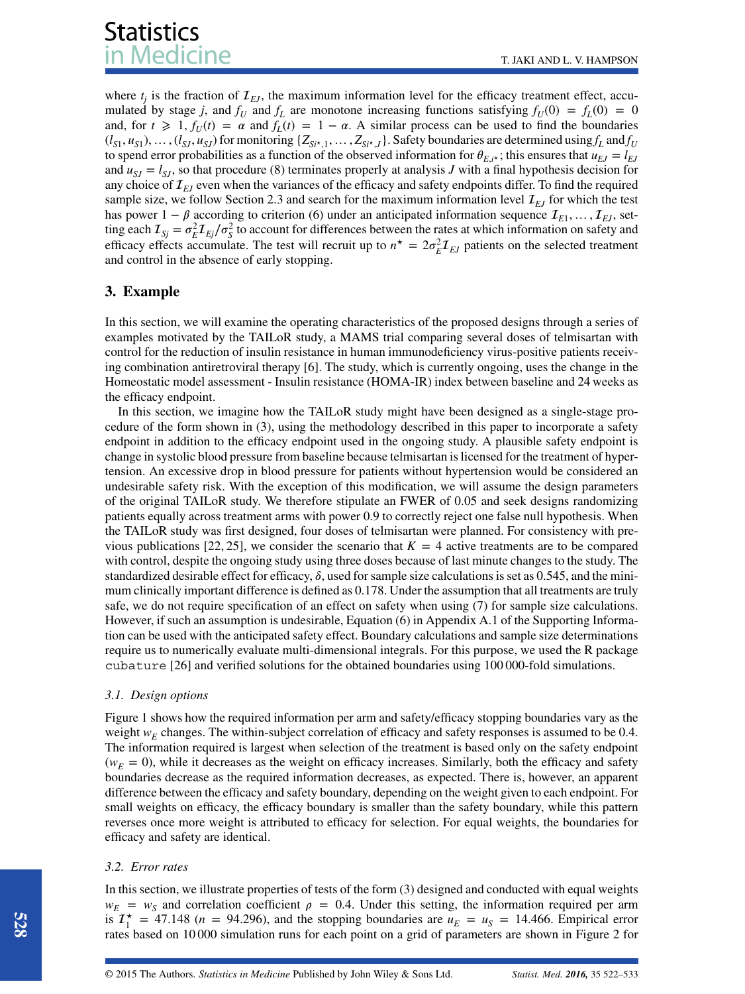where  $t_i$  is the fraction of  $\mathcal{I}_{E,I}$ , the maximum information level for the efficacy treatment effect, accumulated by stage *j*, and  $f_U$  and  $f_L$  are monotone increasing functions satisfying  $f_U(0) = f_L(0) = 0$ and, for  $t \ge 1$ ,  $f_U(t) = \alpha$  and  $f_L(t) = 1 - \alpha$ . A similar process can be used to find the boundaries  $(l_{s1}, u_{s1}), \ldots, (l_{sJ}, u_{sJ})$  for monitoring  $\{Z_{s_i^*}, \ldots, Z_{s_i^*J}\}\$ . Safety boundaries are determined using  $f_L$  and  $f_U$ to spend error probabilities as a function of the observed information for  $\theta_{E,i^*}$ ; this ensures that  $u_{EJ} = l_{EJ}$ and  $u_{SI} = l_{SI}$ , so that procedure [\(8\)](#page-5-2) terminates properly at analysis *J* with a final hypothesis decision for any choice of  $\mathcal{I}_{EJ}$  even when the variances of the efficacy and safety endpoints differ. To find the required sample size, we follow Section [2.3](#page-4-3) and search for the maximum information level  $\mathcal{I}_{E}$  for which the test has power  $1 - \beta$  according to criterion [\(6\)](#page-4-2) under an anticipated information sequence  $\mathcal{I}_{E1}, \ldots, \mathcal{I}_{EJ}$ , setting each  $\mathcal{I}_{Sj} = \sigma_E^2 \mathcal{I}_{Ej}/\sigma_S^2$  to account for differences between the rates at which information on safety and efficacy effects accumulate. The test will recruit up to  $n^* = 2\sigma_E^2 \mathcal{I}_{EJ}$  patients on the selected treatment and control in the absence of early stopping.

#### <span id="page-6-0"></span>**3. Example**

In this section, we will examine the operating characteristics of the proposed designs through a series of examples motivated by the TAILoR study, a MAMS trial comparing several doses of telmisartan with control for the reduction of insulin resistance in human immunodeficiency virus-positive patients receiving combination antiretroviral therapy [\[6\]](#page-10-7). The study, which is currently ongoing, uses the change in the Homeostatic model assessment - Insulin resistance (HOMA-IR) index between baseline and 24 weeks as the efficacy endpoint.

In this section, we imagine how the TAILoR study might have been designed as a single-stage procedure of the form shown in [\(3\)](#page-3-0), using the methodology described in this paper to incorporate a safety endpoint in addition to the efficacy endpoint used in the ongoing study. A plausible safety endpoint is change in systolic blood pressure from baseline because telmisartan is licensed for the treatment of hypertension. An excessive drop in blood pressure for patients without hypertension would be considered an undesirable safety risk. With the exception of this modification, we will assume the design parameters of the original TAILoR study. We therefore stipulate an FWER of 0.05 and seek designs randomizing patients equally across treatment arms with power 0.9 to correctly reject one false null hypothesis. When the TAILoR study was first designed, four doses of telmisartan were planned. For consistency with pre-vious publications [\[22,](#page-11-7) [25\]](#page-11-10), we consider the scenario that  $K = 4$  active treatments are to be compared with control, despite the ongoing study using three doses because of last minute changes to the study. The standardized desirable effect for efficacy,  $\delta$ , used for sample size calculations is set as 0.545, and the minimum clinically important difference is defined as 0.178. Under the assumption that all treatments are truly safe, we do not require specification of an effect on safety when using [\(7\)](#page-5-1) for sample size calculations. However, if such an assumption is undesirable, Equation (6) in Appendix A.1 of the Supporting Information can be used with the anticipated safety effect. Boundary calculations and sample size determinations require us to numerically evaluate multi-dimensional integrals. For this purpose, we used the R package cubature [\[26\]](#page-11-11) and verified solutions for the obtained boundaries using 100 000-fold simulations.

#### *3.1. Design options*

Figure [1](#page-7-0) shows how the required information per arm and safety/efficacy stopping boundaries vary as the weight  $w_F$  changes. The within-subject correlation of efficacy and safety responses is assumed to be 0.4. The information required is largest when selection of the treatment is based only on the safety endpoint  $(w<sub>E</sub> = 0)$ , while it decreases as the weight on efficacy increases. Similarly, both the efficacy and safety boundaries decrease as the required information decreases, as expected. There is, however, an apparent difference between the efficacy and safety boundary, depending on the weight given to each endpoint. For small weights on efficacy, the efficacy boundary is smaller than the safety boundary, while this pattern reverses once more weight is attributed to efficacy for selection. For equal weights, the boundaries for efficacy and safety are identical.

#### <span id="page-6-1"></span>*3.2. Error rates*

In this section, we illustrate properties of tests of the form [\(3\)](#page-3-0) designed and conducted with equal weights  $w_E = w_S$  and correlation coefficient  $\rho = 0.4$ . Under this setting, the information required per arm is  $\mathcal{I}_1^* = 47.148$  ( $n = 94.296$ ), and the stopping boundaries are  $u_E = u_S = 14.466$ . Empirical error rates based on 10 000 simulation runs for each point on a grid of parameters are shown in Figure [2](#page-7-1) for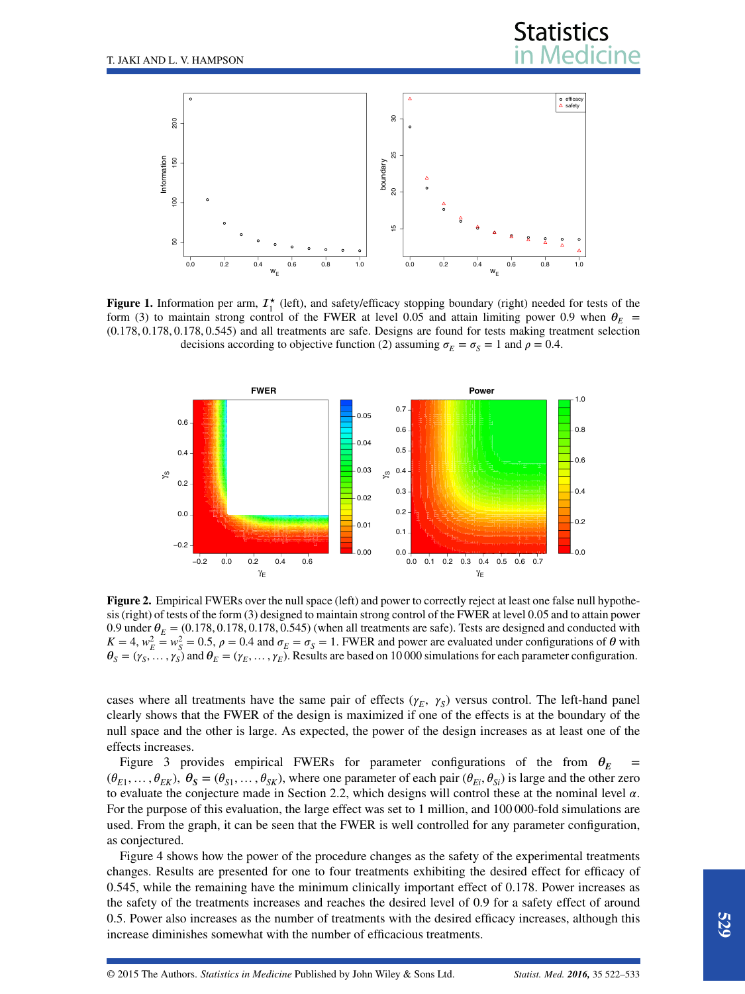

<span id="page-7-0"></span>**Figure 1.** Information per arm,  $\mathcal{I}_1^{\star}$  (left), and safety/efficacy stopping boundary (right) needed for tests of the form [\(3\)](#page-3-0) to maintain strong control of the FWER at level 0.05 and attain limiting power 0.9 when  $\theta_F$  = (0*.*178*,* 0*.*178*,* 0*.*178*,* 0*.*545) and all treatments are safe. Designs are found for tests making treatment selection decisions according to objective function [\(2\)](#page-2-0) assuming  $\sigma_E = \sigma_S = 1$  and  $\rho = 0.4$ .



<span id="page-7-1"></span>**Figure 2.** Empirical FWERs over the null space (left) and power to correctly reject at least one false null hypothesis (right) of tests of the form [\(3\)](#page-3-0) designed to maintain strong control of the FWER at level 0.05 and to attain power 0.9 under  $\theta_E = (0.178, 0.178, 0.178, 0.545)$  (when all treatments are safe). Tests are designed and conducted with  $K = 4$ ,  $w_E^2 = w_S^2 = 0.5$ ,  $\rho = 0.4$  and  $\sigma_E = \sigma_S = 1$ . FWER and power are evaluated under configurations of  $\theta$  with  $\theta_s = (r_s, \dots, r_s)$  and  $\theta_E = (r_E, \dots, r_E)$ . Results are based on 10 000 simulations for each parameter configuration.

cases where all treatments have the same pair of effects  $(\gamma_E, \gamma_S)$  versus control. The left-hand panel clearly shows that the FWER of the design is maximized if one of the effects is at the boundary of the null space and the other is large. As expected, the power of the design increases as at least one of the effects increases.

Figure [3](#page-8-1) provides empirical FWERs for parameter configurations of the from  $\theta_E$  =  $(\theta_{E1}, \dots, \theta_{EK}), \theta_S = (\theta_{S1}, \dots, \theta_{SK})$ , where one parameter of each pair  $(\theta_{Ei}, \theta_{Si})$  is large and the other zero to evaluate the conjecture made in Section [2.2,](#page-3-1) which designs will control these at the nominal level  $\alpha$ . For the purpose of this evaluation, the large effect was set to 1 million, and 100 000-fold simulations are used. From the graph, it can be seen that the FWER is well controlled for any parameter configuration, as conjectured.

Figure [4](#page-8-2) shows how the power of the procedure changes as the safety of the experimental treatments changes. Results are presented for one to four treatments exhibiting the desired effect for efficacy of 0.545, while the remaining have the minimum clinically important effect of 0.178. Power increases as the safety of the treatments increases and reaches the desired level of 0.9 for a safety effect of around 0.5. Power also increases as the number of treatments with the desired efficacy increases, although this increase diminishes somewhat with the number of efficacious treatments.

**Statistics**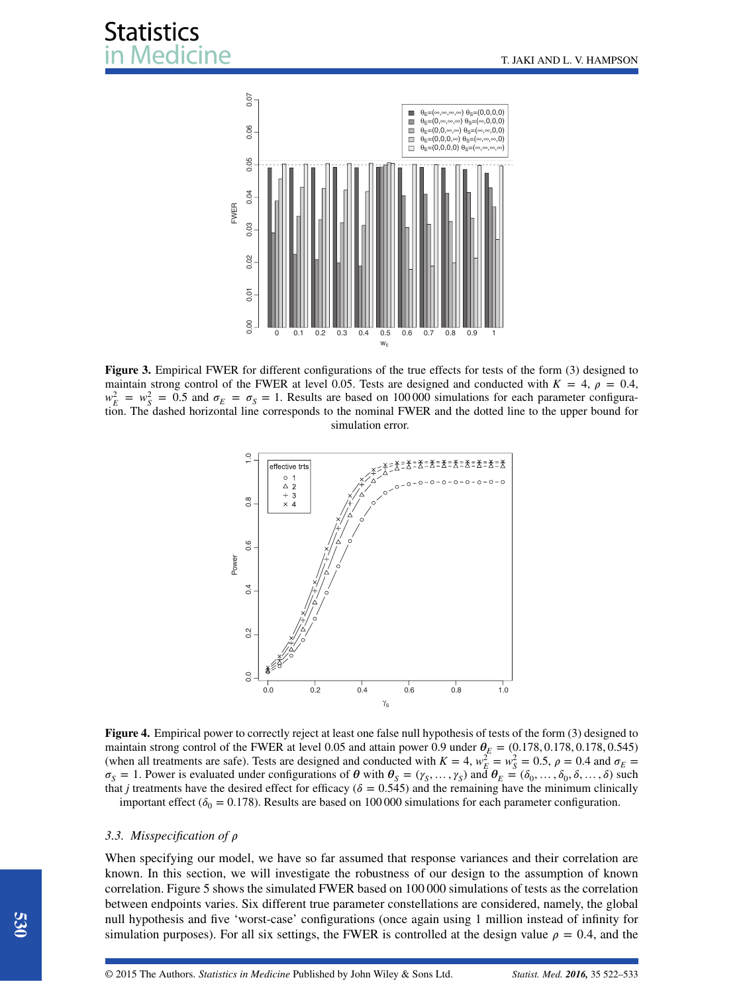

<span id="page-8-1"></span>**Figure 3.** Empirical FWER for different configurations of the true effects for tests of the form [\(3\)](#page-3-0) designed to maintain strong control of the FWER at level 0.05. Tests are designed and conducted with  $K = 4$ ,  $\rho = 0.4$ ,  $w_E^2 = w_S^2 = 0.5$  and  $\sigma_E = \sigma_S = 1$ . Results are based on 100 000 simulations for each parameter configuration. The dashed horizontal line corresponds to the nominal FWER and the dotted line to the upper bound for simulation error.



<span id="page-8-2"></span>**Figure 4.** Empirical power to correctly reject at least one false null hypothesis of tests of the form [\(3\)](#page-3-0) designed to maintain strong control of the FWER at level 0.05 and attain power 0.9 under  $\theta_E = (0.178, 0.178, 0.178, 0.545)$ (when all treatments are safe). Tests are designed and conducted with  $K = 4$ ,  $w_E^2 = w_S^2 = 0.5$ ,  $\rho = 0.4$  and  $\sigma_E =$  $\sigma_S = 1$ . Power is evaluated under configurations of  $\theta$  with  $\theta_S = (\gamma_S, \dots, \gamma_S)$  and  $\theta_E = (\delta_0, \dots, \delta_0, \delta, \dots, \delta)$  such that *j* treatments have the desired effect for efficacy ( $\delta = 0.545$ ) and the remaining have the minimum clinically important effect ( $\delta_0 = 0.178$ ). Results are based on 100 000 simulations for each parameter configuration.

#### <span id="page-8-0"></span>*3.3. Misspecification of*

When specifying our model, we have so far assumed that response variances and their correlation are known. In this section, we will investigate the robustness of our design to the assumption of known correlation. Figure [5](#page-9-1) shows the simulated FWER based on 100 000 simulations of tests as the correlation between endpoints varies. Six different true parameter constellations are considered, namely, the global null hypothesis and five 'worst-case' configurations (once again using 1 million instead of infinity for simulation purposes). For all six settings, the FWER is controlled at the design value  $\rho = 0.4$ , and the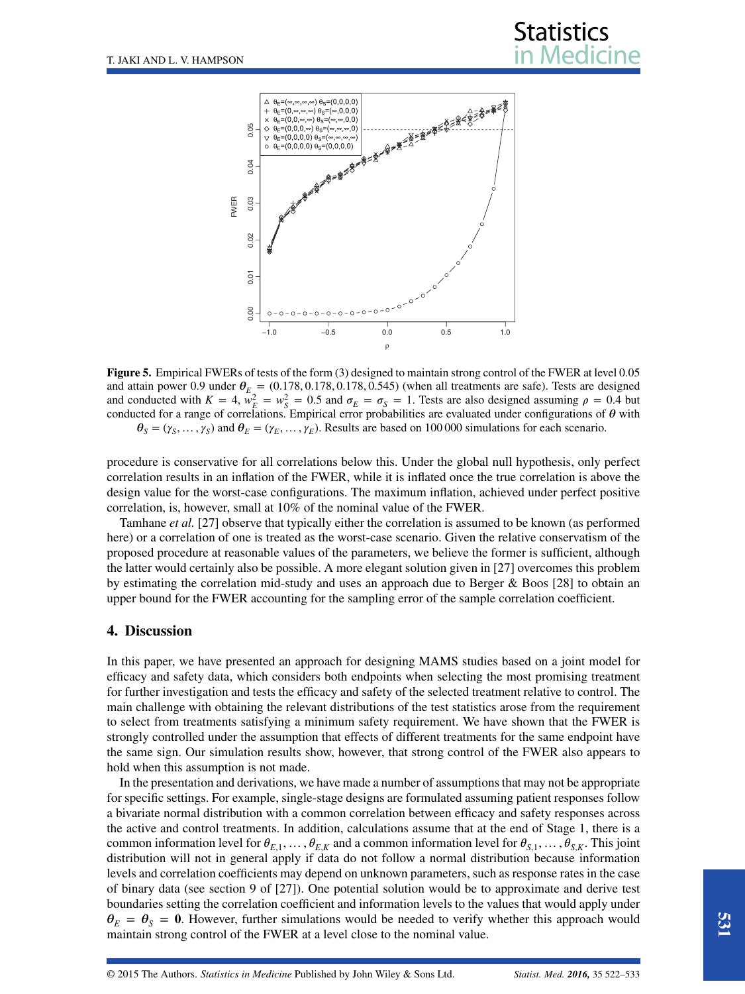

<span id="page-9-1"></span>**Figure 5.** Empirical FWERs of tests of the form [\(3\)](#page-3-0) designed to maintain strong control of the FWER at level 0.05 and attain power 0.9 under  $\theta_E = (0.178, 0.178, 0.178, 0.545)$  (when all treatments are safe). Tests are designed and conducted with  $K = 4$ ,  $w_E^2 = w_S^2 = 0.5$  and  $\sigma_E = \sigma_S = 1$ . Tests are also designed assuming  $\rho = 0.4$  but conducted for a range of correlations. Empirical error probabilities are evaluated under configurations of  $\theta$  with  $\theta_s = (\gamma_s, \dots, \gamma_s)$  and  $\theta_E = (\gamma_E, \dots, \gamma_E)$ . Results are based on 100 000 simulations for each scenario.

procedure is conservative for all correlations below this. Under the global null hypothesis, only perfect correlation results in an inflation of the FWER, while it is inflated once the true correlation is above the design value for the worst-case configurations. The maximum inflation, achieved under perfect positive correlation, is, however, small at 10% of the nominal value of the FWER.

Tamhane *et al.* [\[27\]](#page-11-12) observe that typically either the correlation is assumed to be known (as performed here) or a correlation of one is treated as the worst-case scenario. Given the relative conservatism of the proposed procedure at reasonable values of the parameters, we believe the former is sufficient, although the latter would certainly also be possible. A more elegant solution given in [\[27\]](#page-11-12) overcomes this problem by estimating the correlation mid-study and uses an approach due to Berger & Boos [\[28\]](#page-11-13) to obtain an upper bound for the FWER accounting for the sampling error of the sample correlation coefficient.

#### <span id="page-9-0"></span>**4. Discussion**

In this paper, we have presented an approach for designing MAMS studies based on a joint model for efficacy and safety data, which considers both endpoints when selecting the most promising treatment for further investigation and tests the efficacy and safety of the selected treatment relative to control. The main challenge with obtaining the relevant distributions of the test statistics arose from the requirement to select from treatments satisfying a minimum safety requirement. We have shown that the FWER is strongly controlled under the assumption that effects of different treatments for the same endpoint have the same sign. Our simulation results show, however, that strong control of the FWER also appears to hold when this assumption is not made.

In the presentation and derivations, we have made a number of assumptions that may not be appropriate for specific settings. For example, single-stage designs are formulated assuming patient responses follow a bivariate normal distribution with a common correlation between efficacy and safety responses across the active and control treatments. In addition, calculations assume that at the end of Stage 1, there is a common information level for  $\theta_{E,1}, \ldots, \theta_{E,K}$  and a common information level for  $\theta_{S,1}, \ldots, \theta_{S,K}$ . This joint distribution will not in general apply if data do not follow a normal distribution because information levels and correlation coefficients may depend on unknown parameters, such as response rates in the case of binary data (see section 9 of [\[27\]](#page-11-12)). One potential solution would be to approximate and derive test boundaries setting the correlation coefficient and information levels to the values that would apply under  $\theta_E = \theta_S = 0$ . However, further simulations would be needed to verify whether this approach would maintain strong control of the FWER at a level close to the nominal value.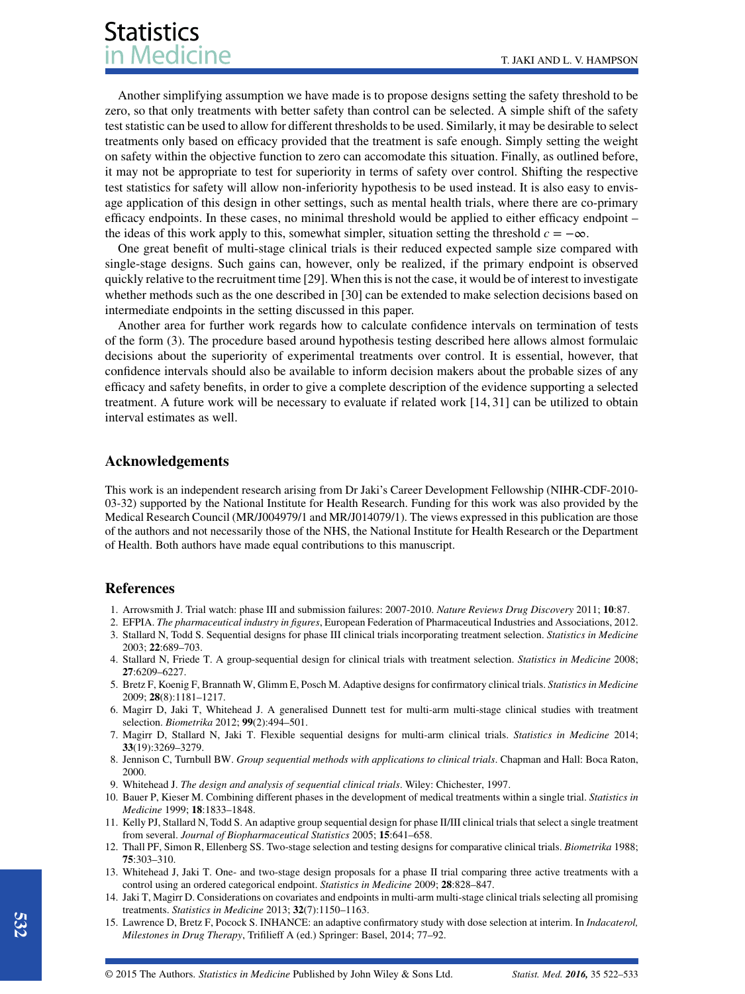## **Statistics** *Aedicine*

Another simplifying assumption we have made is to propose designs setting the safety threshold to be zero, so that only treatments with better safety than control can be selected. A simple shift of the safety test statistic can be used to allow for different thresholds to be used. Similarly, it may be desirable to select treatments only based on efficacy provided that the treatment is safe enough. Simply setting the weight on safety within the objective function to zero can accomodate this situation. Finally, as outlined before, it may not be appropriate to test for superiority in terms of safety over control. Shifting the respective test statistics for safety will allow non-inferiority hypothesis to be used instead. It is also easy to envisage application of this design in other settings, such as mental health trials, where there are co-primary efficacy endpoints. In these cases, no minimal threshold would be applied to either efficacy endpoint – the ideas of this work apply to this, somewhat simpler, situation setting the threshold  $c = -\infty$ .

One great benefit of multi-stage clinical trials is their reduced expected sample size compared with single-stage designs. Such gains can, however, only be realized, if the primary endpoint is observed quickly relative to the recruitment time [\[29\]](#page-11-14). When this is not the case, it would be of interest to investigate whether methods such as the one described in [\[30\]](#page-11-15) can be extended to make selection decisions based on intermediate endpoints in the setting discussed in this paper.

Another area for further work regards how to calculate confidence intervals on termination of tests of the form [\(3\)](#page-3-0). The procedure based around hypothesis testing described here allows almost formulaic decisions about the superiority of experimental treatments over control. It is essential, however, that confidence intervals should also be available to inform decision makers about the probable sizes of any efficacy and safety benefits, in order to give a complete description of the evidence supporting a selected treatment. A future work will be necessary to evaluate if related work [\[14,](#page-10-10) [31\]](#page-11-16) can be utilized to obtain interval estimates as well.

#### **Acknowledgements**

This work is an independent research arising from Dr Jaki's Career Development Fellowship (NIHR-CDF-2010- 03-32) supported by the National Institute for Health Research. Funding for this work was also provided by the Medical Research Council (MR/J004979/1 and MR/J014079/1). The views expressed in this publication are those of the authors and not necessarily those of the NHS, the National Institute for Health Research or the Department of Health. Both authors have made equal contributions to this manuscript.

#### **References**

- <span id="page-10-0"></span>1. Arrowsmith J. Trial watch: phase III and submission failures: 2007-2010. *Nature Reviews Drug Discovery* 2011; **10**:87.
- <span id="page-10-1"></span>2. EFPIA. *The pharmaceutical industry in figures*, European Federation of Pharmaceutical Industries and Associations, 2012.
- <span id="page-10-2"></span>3. Stallard N, Todd S. Sequential designs for phase III clinical trials incorporating treatment selection. *Statistics in Medicine* 2003; **22**:689–703.
- 4. Stallard N, Friede T. A group-sequential design for clinical trials with treatment selection. *Statistics in Medicine* 2008; **27**:6209–6227.
- <span id="page-10-11"></span>5. Bretz F, Koenig F, Brannath W, Glimm E, Posch M. Adaptive designs for confirmatory clinical trials. *Statistics in Medicine* 2009; **28**(8):1181–1217.
- <span id="page-10-7"></span>6. Magirr D, Jaki T, Whitehead J. A generalised Dunnett test for multi-arm multi-stage clinical studies with treatment selection. *Biometrika* 2012; **99**(2):494–501.
- <span id="page-10-3"></span>7. Magirr D, Stallard N, Jaki T. Flexible sequential designs for multi-arm clinical trials. *Statistics in Medicine* 2014; **33**(19):3269–3279.
- <span id="page-10-4"></span>8. Jennison C, Turnbull BW. *Group sequential methods with applications to clinical trials*. Chapman and Hall: Boca Raton, 2000.
- <span id="page-10-5"></span>9. Whitehead J. *The design and analysis of sequential clinical trials*. Wiley: Chichester, 1997.
- <span id="page-10-6"></span>10. Bauer P, Kieser M. Combining different phases in the development of medical treatments within a single trial. *Statistics in Medicine* 1999; **18**:1833–1848.
- <span id="page-10-8"></span>11. Kelly PJ, Stallard N, Todd S. An adaptive group sequential design for phase II/III clinical trials that select a single treatment from several. *Journal of Biopharmaceutical Statistics* 2005; **15**:641–658.
- <span id="page-10-9"></span>12. Thall PF, Simon R, Ellenberg SS. Two-stage selection and testing designs for comparative clinical trials. *Biometrika* 1988; **75**:303–310.
- 13. Whitehead J, Jaki T. One- and two-stage design proposals for a phase II trial comparing three active treatments with a control using an ordered categorical endpoint. *Statistics in Medicine* 2009; **28**:828–847.
- <span id="page-10-10"></span>14. Jaki T, Magirr D. Considerations on covariates and endpoints in multi-arm multi-stage clinical trials selecting all promising treatments. *Statistics in Medicine* 2013; **32**(7):1150–1163.
- <span id="page-10-12"></span>15. Lawrence D, Bretz F, Pocock S. INHANCE: an adaptive confirmatory study with dose selection at interim. In *Indacaterol, Milestones in Drug Therapy*, Trifilieff A (ed.) Springer: Basel, 2014; 77–92.